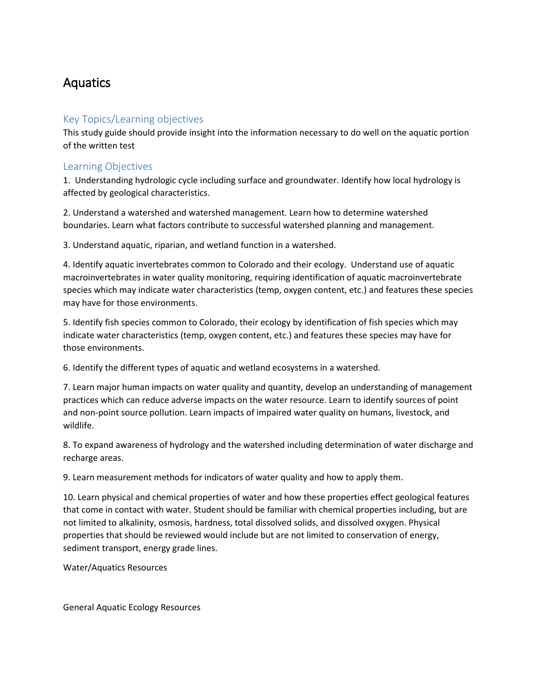# Aquatics

## Key Topics/Learning objectives

This study guide should provide insight into the information necessary to do well on the aquatic portion of the written test

### Learning Objectives

1. Understanding hydrologic cycle including surface and groundwater. Identify how local hydrology is affected by geological characteristics.

2. Understand a watershed and watershed management. Learn how to determine watershed boundaries. Learn what factors contribute to successful watershed planning and management.

3. Understand aquatic, riparian, and wetland function in a watershed.

4. Identify aquatic invertebrates common to Colorado and their ecology. Understand use of aquatic macroinvertebrates in water quality monitoring, requiring identification of aquatic macroinvertebrate species which may indicate water characteristics (temp, oxygen content, etc.) and features these species may have for those environments.

5. Identify fish species common to Colorado, their ecology by identification of fish species which may indicate water characteristics (temp, oxygen content, etc.) and features these species may have for those environments.

6. Identify the different types of aquatic and wetland ecosystems in a watershed.

7. Learn major human impacts on water quality and quantity, develop an understanding of management practices which can reduce adverse impacts on the water resource. Learn to identify sources of point and non-point source pollution. Learn impacts of impaired water quality on humans, livestock, and wildlife.

8. To expand awareness of hydrology and the watershed including determination of water discharge and recharge areas.

9. Learn measurement methods for indicators of water quality and how to apply them.

10. Learn physical and chemical properties of water and how these properties effect geological features that come in contact with water. Student should be familiar with chemical properties including, but are not limited to alkalinity, osmosis, hardness, total dissolved solids, and dissolved oxygen. Physical properties that should be reviewed would include but are not limited to conservation of energy, sediment transport, energy grade lines.

Water/Aquatics Resources

General Aquatic Ecology Resources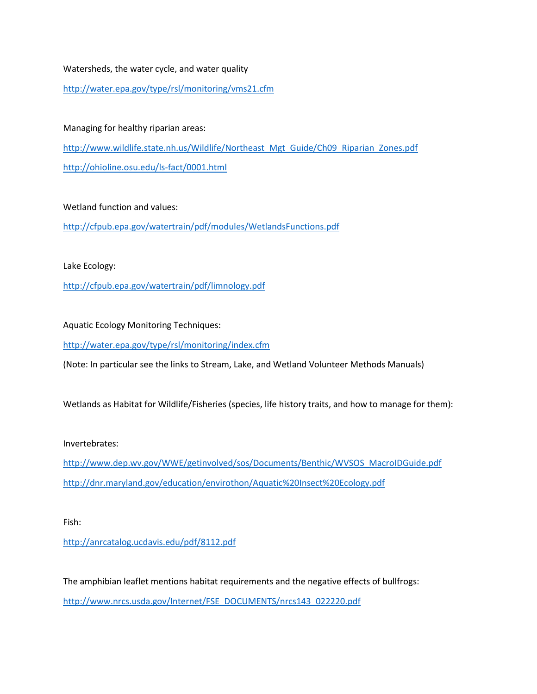#### Watersheds, the water cycle, and water quality

<http://water.epa.gov/type/rsl/monitoring/vms21.cfm>

Managing for healthy riparian areas: [http://www.wildlife.state.nh.us/Wildlife/Northeast\\_Mgt\\_Guide/Ch09\\_Riparian\\_Zones.pdf](http://www.wildlife.state.nh.us/Wildlife/Northeast_Mgt_Guide/Ch09_Riparian_Zones.pdf) <http://ohioline.osu.edu/ls-fact/0001.html>

Wetland function and values:

<http://cfpub.epa.gov/watertrain/pdf/modules/WetlandsFunctions.pdf>

Lake Ecology:

<http://cfpub.epa.gov/watertrain/pdf/limnology.pdf>

Aquatic Ecology Monitoring Techniques:

<http://water.epa.gov/type/rsl/monitoring/index.cfm>

(Note: In particular see the links to Stream, Lake, and Wetland Volunteer Methods Manuals)

Wetlands as Habitat for Wildlife/Fisheries (species, life history traits, and how to manage for them):

Invertebrates:

[http://www.dep.wv.gov/WWE/getinvolved/sos/Documents/Benthic/WVSOS\\_MacroIDGuide.pdf](http://www.dep.wv.gov/WWE/getinvolved/sos/Documents/Benthic/WVSOS_MacroIDGuide.pdf) <http://dnr.maryland.gov/education/envirothon/Aquatic%20Insect%20Ecology.pdf>

Fish:

<http://anrcatalog.ucdavis.edu/pdf/8112.pdf>

The amphibian leaflet mentions habitat requirements and the negative effects of bullfrogs: [http://www.nrcs.usda.gov/Internet/FSE\\_DOCUMENTS/nrcs143\\_022220.pdf](http://www.nrcs.usda.gov/Internet/FSE_DOCUMENTS/nrcs143_022220.pdf)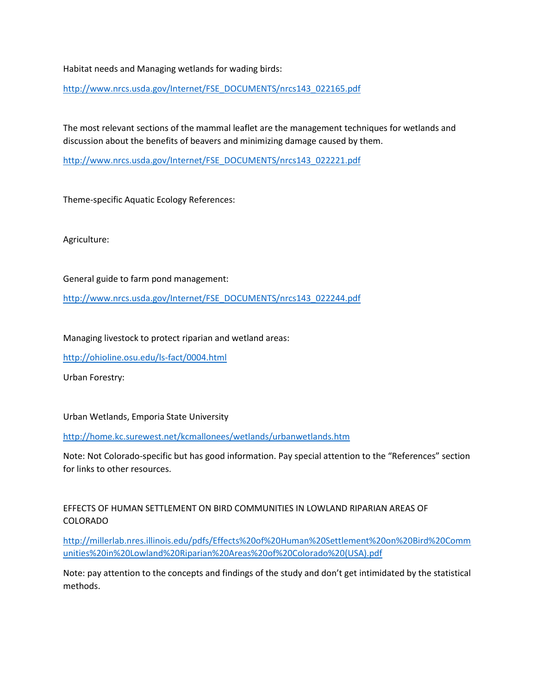Habitat needs and Managing wetlands for wading birds:

[http://www.nrcs.usda.gov/Internet/FSE\\_DOCUMENTS/nrcs143\\_022165.pdf](http://www.nrcs.usda.gov/Internet/FSE_DOCUMENTS/nrcs143_022165.pdf)

The most relevant sections of the mammal leaflet are the management techniques for wetlands and discussion about the benefits of beavers and minimizing damage caused by them.

[http://www.nrcs.usda.gov/Internet/FSE\\_DOCUMENTS/nrcs143\\_022221.pdf](http://www.nrcs.usda.gov/Internet/FSE_DOCUMENTS/nrcs143_022221.pdf)

Theme-specific Aquatic Ecology References:

Agriculture:

General guide to farm pond management:

[http://www.nrcs.usda.gov/Internet/FSE\\_DOCUMENTS/nrcs143\\_022244.pdf](http://www.nrcs.usda.gov/Internet/FSE_DOCUMENTS/nrcs143_022244.pdf)

Managing livestock to protect riparian and wetland areas:

<http://ohioline.osu.edu/ls-fact/0004.html>

Urban Forestry:

Urban Wetlands, Emporia State University

<http://home.kc.surewest.net/kcmallonees/wetlands/urbanwetlands.htm>

Note: Not Colorado-specific but has good information. Pay special attention to the "References" section for links to other resources.

EFFECTS OF HUMAN SETTLEMENT ON BIRD COMMUNITIES IN LOWLAND RIPARIAN AREAS OF COLORADO

[http://millerlab.nres.illinois.edu/pdfs/Effects%20of%20Human%20Settlement%20on%20Bird%20Comm](http://millerlab.nres.illinois.edu/pdfs/Effects%20of%20Human%20Settlement%20on%20Bird%20Communities%20in%20Lowland%20Riparian%20Areas%20of%20Colorado%20(USA).pdf) [unities%20in%20Lowland%20Riparian%20Areas%20of%20Colorado%20\(USA\).pdf](http://millerlab.nres.illinois.edu/pdfs/Effects%20of%20Human%20Settlement%20on%20Bird%20Communities%20in%20Lowland%20Riparian%20Areas%20of%20Colorado%20(USA).pdf)

Note: pay attention to the concepts and findings of the study and don't get intimidated by the statistical methods.